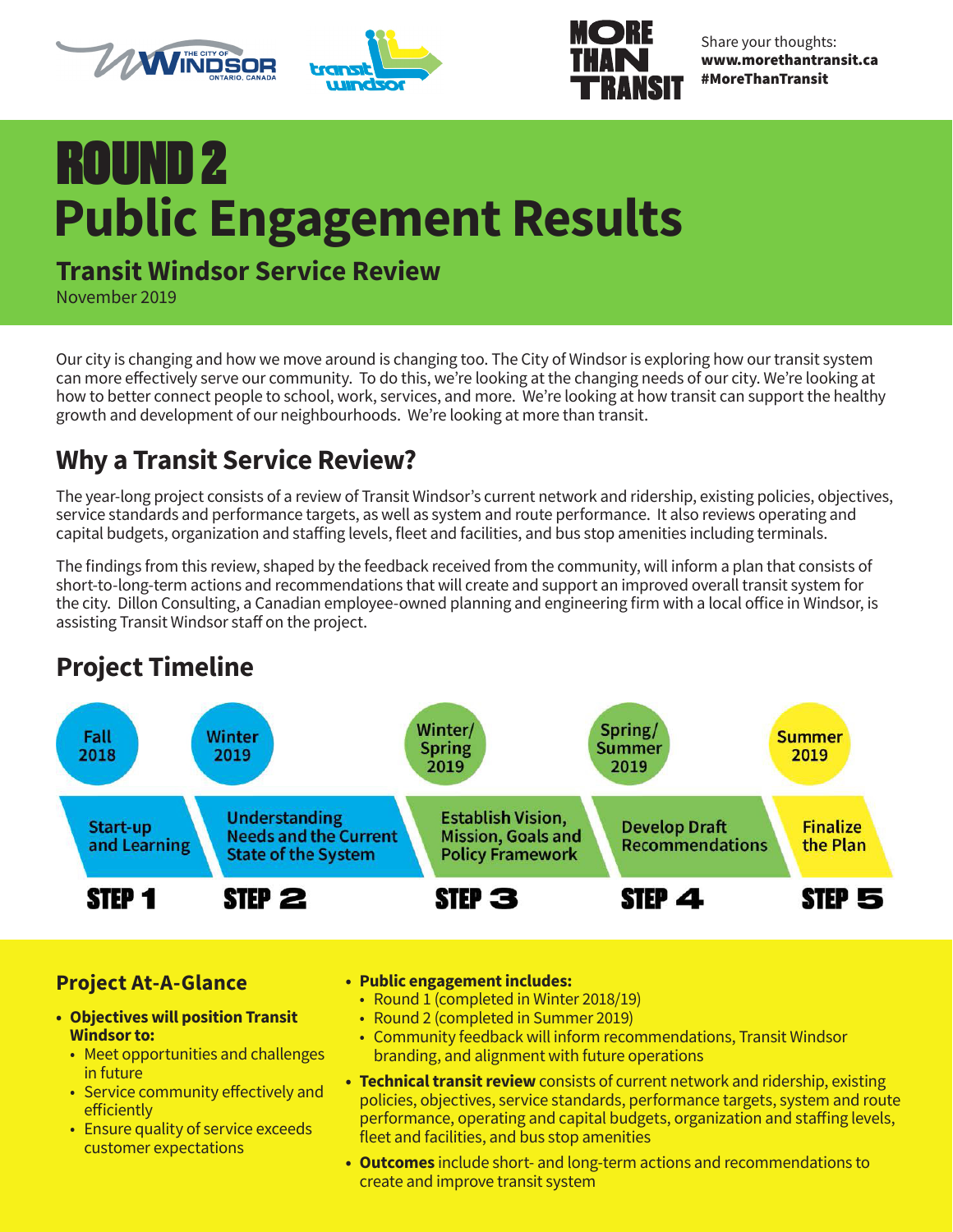





Share your thoughts: www.morethantransit.ca #MoreThanTransit

## ROUND 2 **Public Engagement Results**

#### **Transit Windsor Service Review**

November 2019

Our city is changing and how we move around is changing too. The City of Windsor is exploring how our transit system can more effectively serve our community. To do this, we're looking at the changing needs of our city. We're looking at how to better connect people to school, work, services, and more. We're looking at how transit can support the healthy growth and development of our neighbourhoods. We're looking at more than transit.

#### **Why a Transit Service Review?**

The year-long project consists of a review of Transit Windsor's current network and ridership, existing policies, objectives, service standards and performance targets, as well as system and route performance. It also reviews operating and capital budgets, organization and staffing levels, fleet and facilities, and bus stop amenities including terminals.

The findings from this review, shaped by the feedback received from the community, will inform a plan that consists of short-to-long-term actions and recommendations that will create and support an improved overall transit system for the city. Dillon Consulting, a Canadian employee-owned planning and engineering firm with a local office in Windsor, is assisting Transit Windsor staff on the project.

#### **Project Timeline**



#### **Project At-A-Glance**

- **• Objectives will position Transit Windsor to:**
	- Meet opportunities and challenges in future
	- Service community effectively and efficiently
	- Ensure quality of service exceeds customer expectations

#### **• Public engagement includes:**

- Round 1 (completed in Winter 2018/19)
- Round 2 (completed in Summer 2019)
- Community feedback will inform recommendations, Transit Windsor branding, and alignment with future operations
- **• Technical transit review** consists of current network and ridership, existing policies, objectives, service standards, performance targets, system and route performance, operating and capital budgets, organization and staffing levels, fleet and facilities, and bus stop amenities
- **• Outcomes** include short- and long-term actions and recommendations to create and improve transit system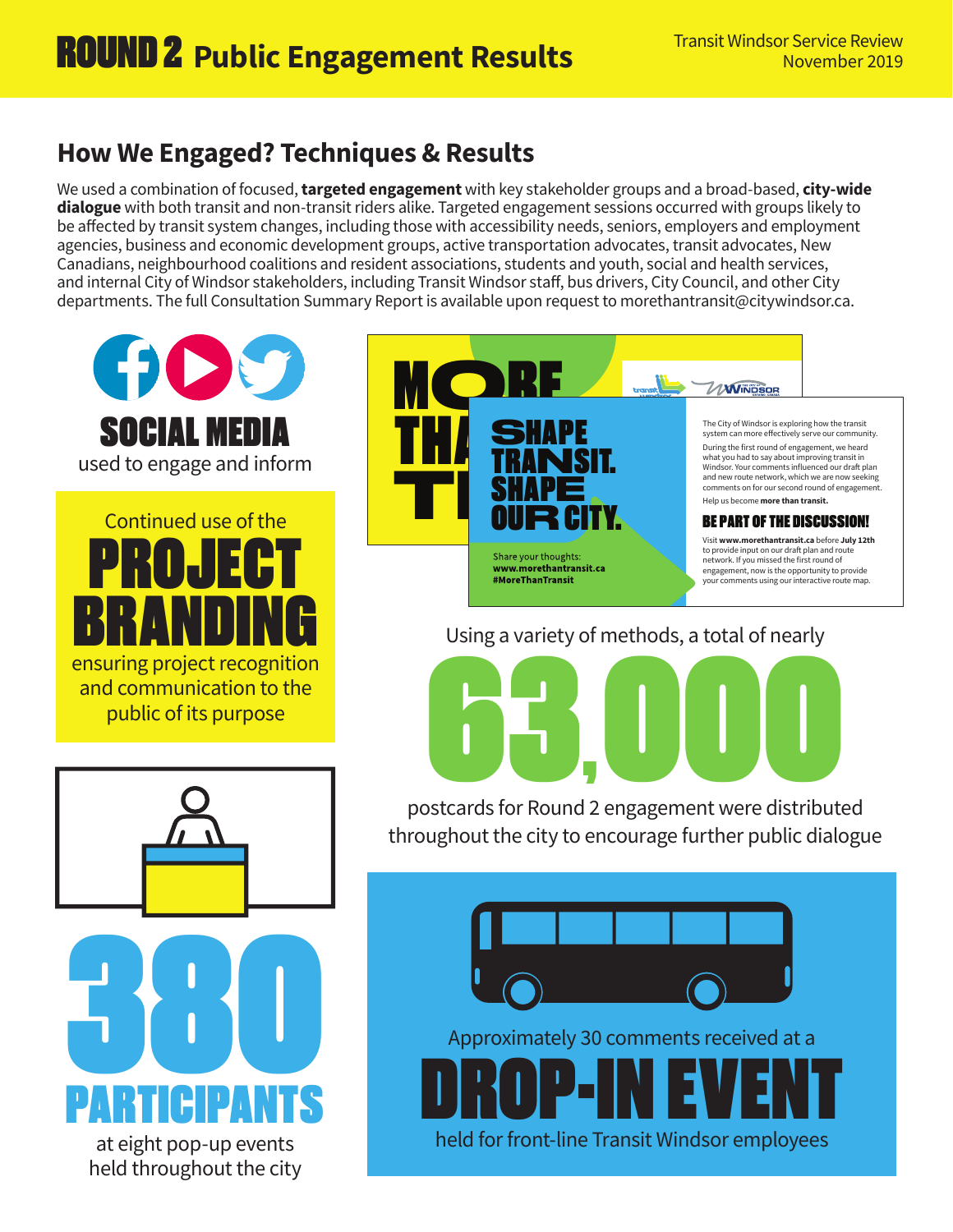#### **How We Engaged? Techniques & Results**

We used a combination of focused, **targeted engagement** with key stakeholder groups and a broad-based, **city-wide dialogue** with both transit and non-transit riders alike. Targeted engagement sessions occurred with groups likely to be affected by transit system changes, including those with accessibility needs, seniors, employers and employment agencies, business and economic development groups, active transportation advocates, transit advocates, New Canadians, neighbourhood coalitions and resident associations, students and youth, social and health services, and internal City of Windsor stakeholders, including Transit Windsor staff, bus drivers, City Council, and other City departments. The full Consultation Summary Report is available upon request to morethantransit@citywindsor.ca.





The City of Windsor is exploring how the transit system can more effectively serve our community.

During the first round of engagement, we heard what you had to say about improving transit in Windsor. Your comments influenced our draft plan and new route network, which we are now seeking comments on for our second round of engagement. Help us become **more than transit.**

#### BE PART OF THE DISCUSSION!

Visit **www.morethantransit.ca** before **July 12th** to provide input on our draft plan and route network. If you missed the first round of engagement, now is the opportunity to provide your comments using our interactive route map.

#### Using a variety of methods, a total of nearly

**Startsfor Pound** 1

po stcards for Round 2 e ngagement were distributed throughout the city to encourage further public dialogue

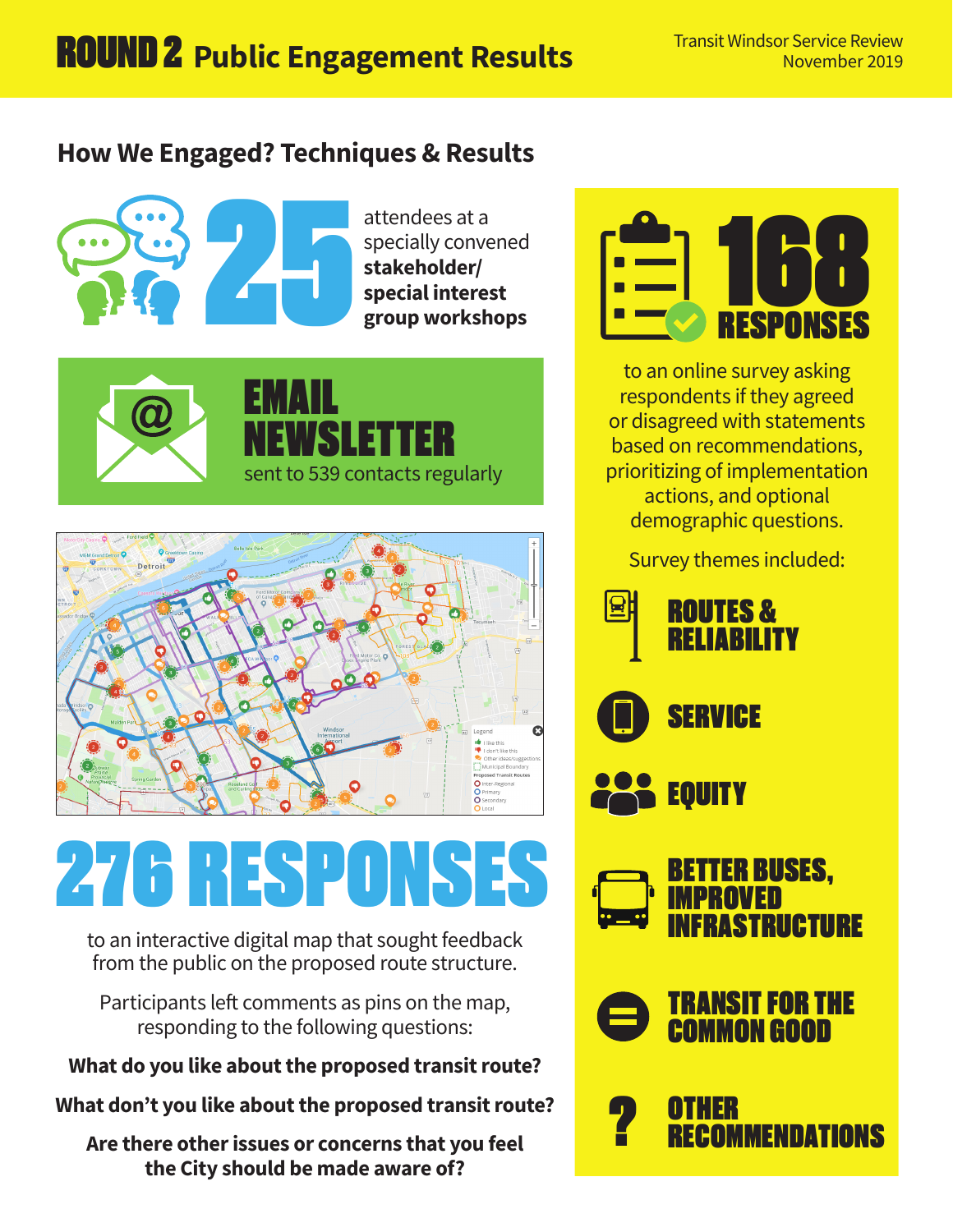#### **How We Engaged? Techniques & Results**



attendees at a specially convened **stakeholder/ special interest group workshops**







# 276 RESPONS

to an interactive digital map that sought feedback from the public on the proposed route structure.

Participants left comments as pins on the map, responding to the following questions:

#### **What do you like about the proposed transit route?**

**What don't you like about the proposed transit route?**

**Are there other issues or concerns that you feel the City should be made aware of?**



to an online survey asking respondents if they agreed or disagreed with statements based on recommendations, prioritizing of implementation actions, and optional demographic questions.

Survey themes included:

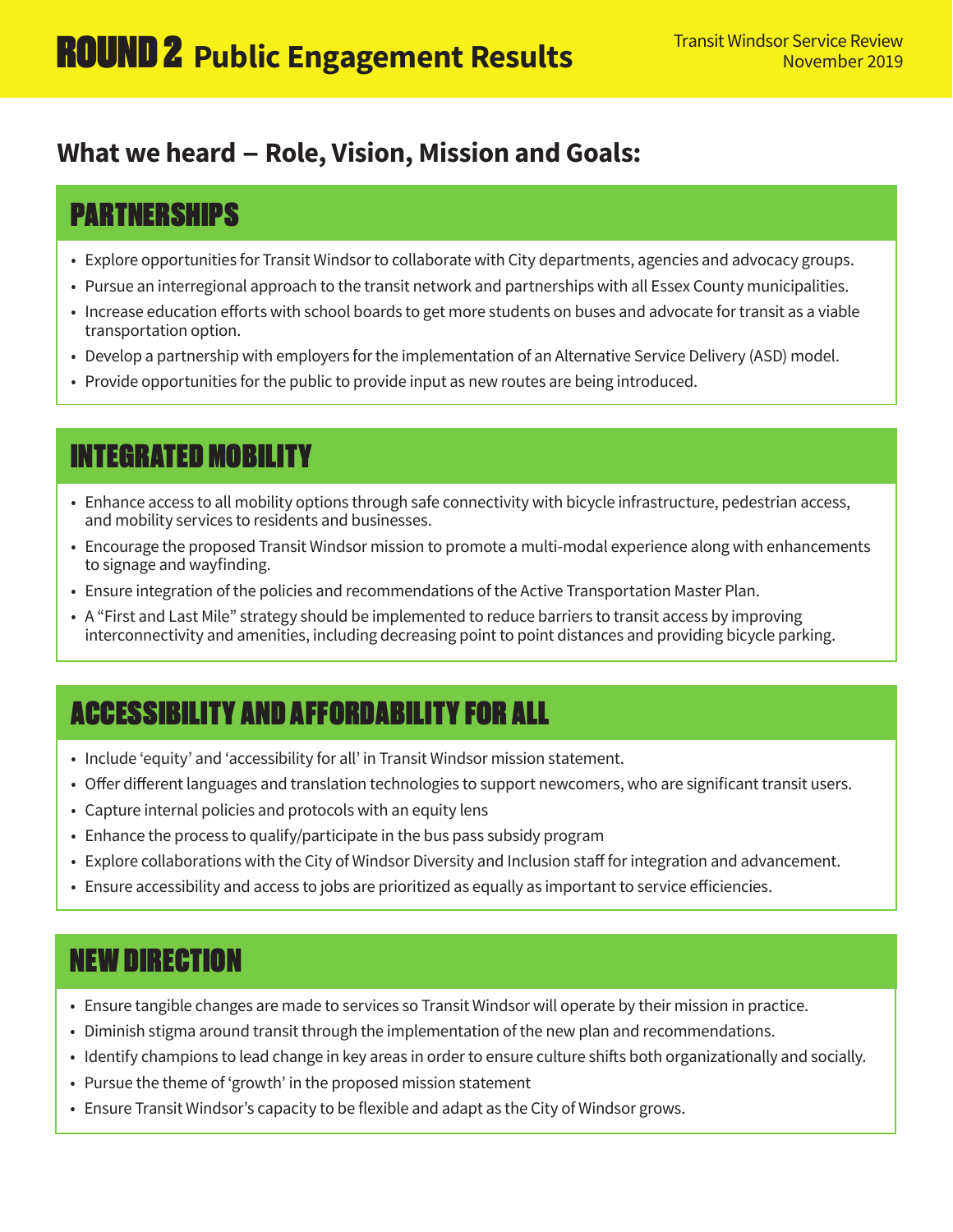#### **What we heard - Role, Vision, Mission and Goals:**

## PARTNERSHIPS

- Explore opportunities for Transit Windsor to collaborate with City departments, agencies and advocacy groups.
- Pursue an interregional approach to the transit network and partnerships with all Essex County municipalities.
- Increase education efforts with school boards to get more students on buses and advocate for transit as a viable transportation option.
- Develop a partnership with employers for the implementation of an Alternative Service Delivery (ASD) model.
- Provide opportunities for the public to provide input as new routes are being introduced.

#### INTEGRATED MOBILITY

- Enhance access to all mobility options through safe connectivity with bicycle infrastructure, pedestrian access, and mobility services to residents and businesses.
- Encourage the proposed Transit Windsor mission to promote a multi-modal experience along with enhancements to signage and wayfinding.
- Ensure integration of the policies and recommendations of the Active Transportation Master Plan.
- A "First and Last Mile" strategy should be implemented to reduce barriers to transit access by improving interconnectivity and amenities, including decreasing point to point distances and providing bicycle parking.

## ACCESSIBILITY AND AFFORDABILITY FOR ALL

- Include 'equity' and 'accessibility for all' in Transit Windsor mission statement.
- Offer different languages and translation technologies to support newcomers, who are significant transit users.
- Capture internal policies and protocols with an equity lens
- Enhance the process to qualify/participate in the bus pass subsidy program
- Explore collaborations with the City of Windsor Diversity and Inclusion staff for integration and advancement.
- Ensure accessibility and access to jobs are prioritized as equally as important to service efficiencies.

## NEW DIRECTION

- Ensure tangible changes are made to services so Transit Windsor will operate by their mission in practice.
- Diminish stigma around transit through the implementation of the new plan and recommendations.
- Identify champions to lead change in key areas in order to ensure culture shifts both organizationally and socially.
- Pursue the theme of 'growth' in the proposed mission statement
- Ensure Transit Windsor's capacity to be flexible and adapt as the City of Windsor grows.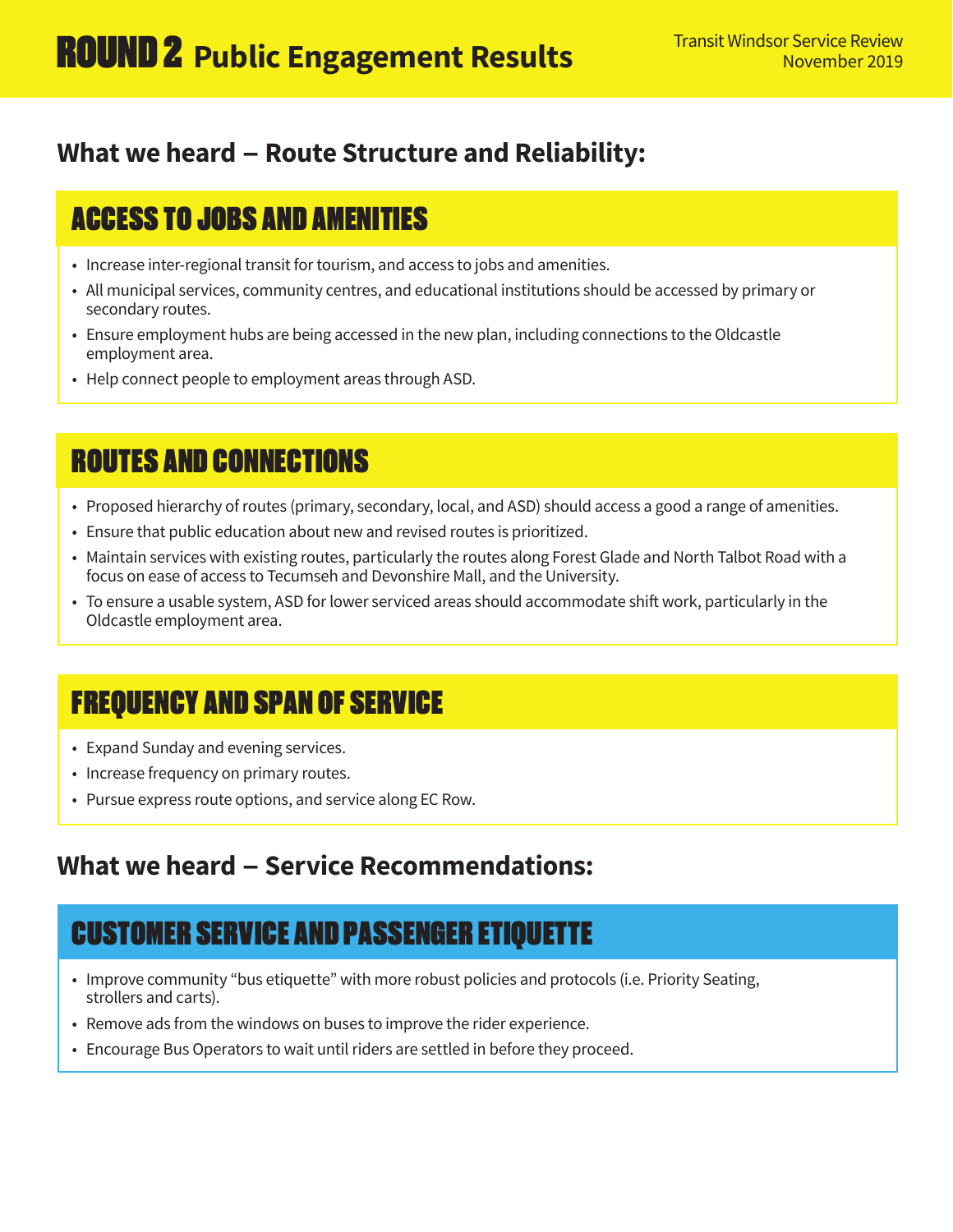#### **What we heard - Route Structure and Reliability:**

## ACCESS TO JOBS AND AMENITIES

- Increase inter-regional transit for tourism, and access to jobs and amenities.
- All municipal services, community centres, and educational institutions should be accessed by primary or secondary routes.
- Ensure employment hubs are being accessed in the new plan, including connections to the Oldcastle employment area.
- Help connect people to employment areas through ASD.

#### ROUTES AND CONNECTIONS

- Proposed hierarchy of routes (primary, secondary, local, and ASD) should access a good a range of amenities.
- Ensure that public education about new and revised routes is prioritized.
- Maintain services with existing routes, particularly the routes along Forest Glade and North Talbot Road with a focus on ease of access to Tecumseh and Devonshire Mall, and the University.
- To ensure a usable system, ASD for lower serviced areas should accommodate shift work, particularly in the Oldcastle employment area.

## FREQUENCY AND SPAN OF SERVICE

- Expand Sunday and evening services.
- Increase frequency on primary routes.
- Pursue express route options, and service along EC Row.

#### **What we heard - Service Recommendations:**

## CUSTOMER SERVICE AND PASSENGER ETIQUETTE

- Improve community "bus etiquette" with more robust policies and protocols (i.e. Priority Seating, strollers and carts).
- Remove ads from the windows on buses to improve the rider experience.
- Encourage Bus Operators to wait until riders are settled in before they proceed.